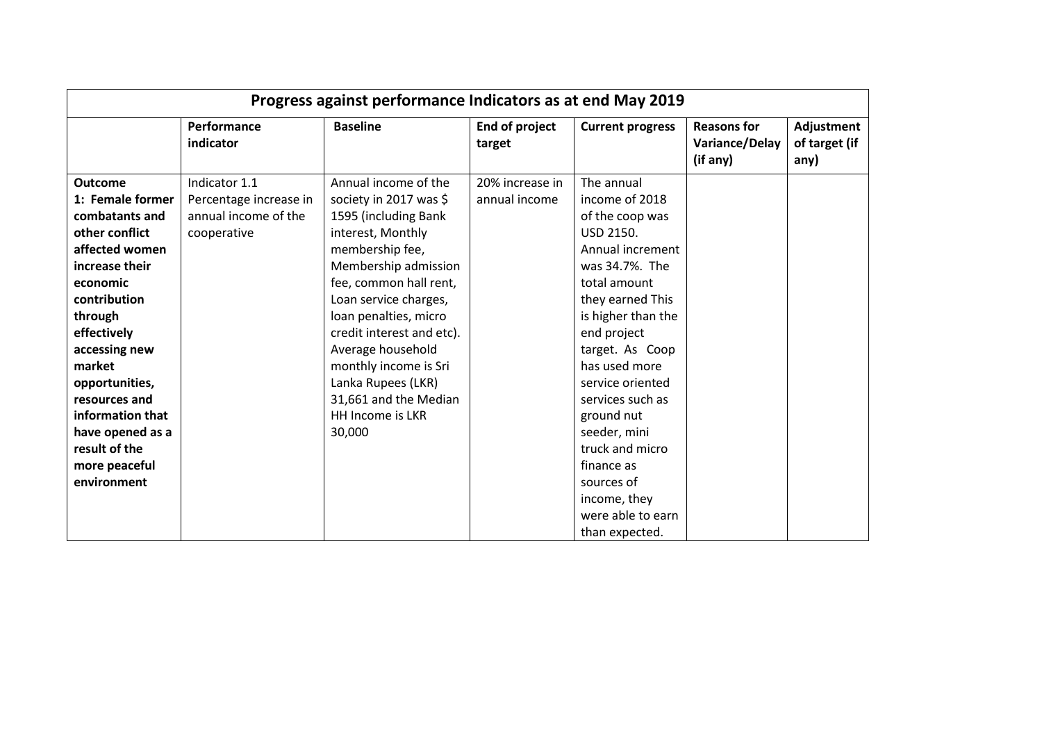| Progress against performance Indicators as at end May 2019 |                          |                           |                          |                         |                                                  |                                     |  |  |
|------------------------------------------------------------|--------------------------|---------------------------|--------------------------|-------------------------|--------------------------------------------------|-------------------------------------|--|--|
|                                                            | Performance<br>indicator | <b>Baseline</b>           | End of project<br>target | <b>Current progress</b> | <b>Reasons for</b><br>Variance/Delay<br>(if any) | Adjustment<br>of target (if<br>any) |  |  |
| <b>Outcome</b>                                             | Indicator 1.1            | Annual income of the      | 20% increase in          | The annual              |                                                  |                                     |  |  |
| 1: Female former                                           | Percentage increase in   | society in 2017 was \$    | annual income            | income of 2018          |                                                  |                                     |  |  |
| combatants and                                             | annual income of the     | 1595 (including Bank      |                          | of the coop was         |                                                  |                                     |  |  |
| other conflict                                             | cooperative              | interest, Monthly         |                          | <b>USD 2150.</b>        |                                                  |                                     |  |  |
| affected women                                             |                          | membership fee,           |                          | Annual increment        |                                                  |                                     |  |  |
| increase their                                             |                          | Membership admission      |                          | was 34.7%. The          |                                                  |                                     |  |  |
| economic                                                   |                          | fee, common hall rent,    |                          | total amount            |                                                  |                                     |  |  |
| contribution                                               |                          | Loan service charges,     |                          | they earned This        |                                                  |                                     |  |  |
| through                                                    |                          | loan penalties, micro     |                          | is higher than the      |                                                  |                                     |  |  |
| effectively                                                |                          | credit interest and etc). |                          | end project             |                                                  |                                     |  |  |
| accessing new                                              |                          | Average household         |                          | target. As Coop         |                                                  |                                     |  |  |
| market                                                     |                          | monthly income is Sri     |                          | has used more           |                                                  |                                     |  |  |
| opportunities,                                             |                          | Lanka Rupees (LKR)        |                          | service oriented        |                                                  |                                     |  |  |
| resources and                                              |                          | 31,661 and the Median     |                          | services such as        |                                                  |                                     |  |  |
| information that                                           |                          | <b>HH Income is LKR</b>   |                          | ground nut              |                                                  |                                     |  |  |
| have opened as a                                           |                          | 30,000                    |                          | seeder, mini            |                                                  |                                     |  |  |
| result of the                                              |                          |                           |                          | truck and micro         |                                                  |                                     |  |  |
| more peaceful                                              |                          |                           |                          | finance as              |                                                  |                                     |  |  |
| environment                                                |                          |                           |                          | sources of              |                                                  |                                     |  |  |
|                                                            |                          |                           |                          | income, they            |                                                  |                                     |  |  |
|                                                            |                          |                           |                          | were able to earn       |                                                  |                                     |  |  |
|                                                            |                          |                           |                          | than expected.          |                                                  |                                     |  |  |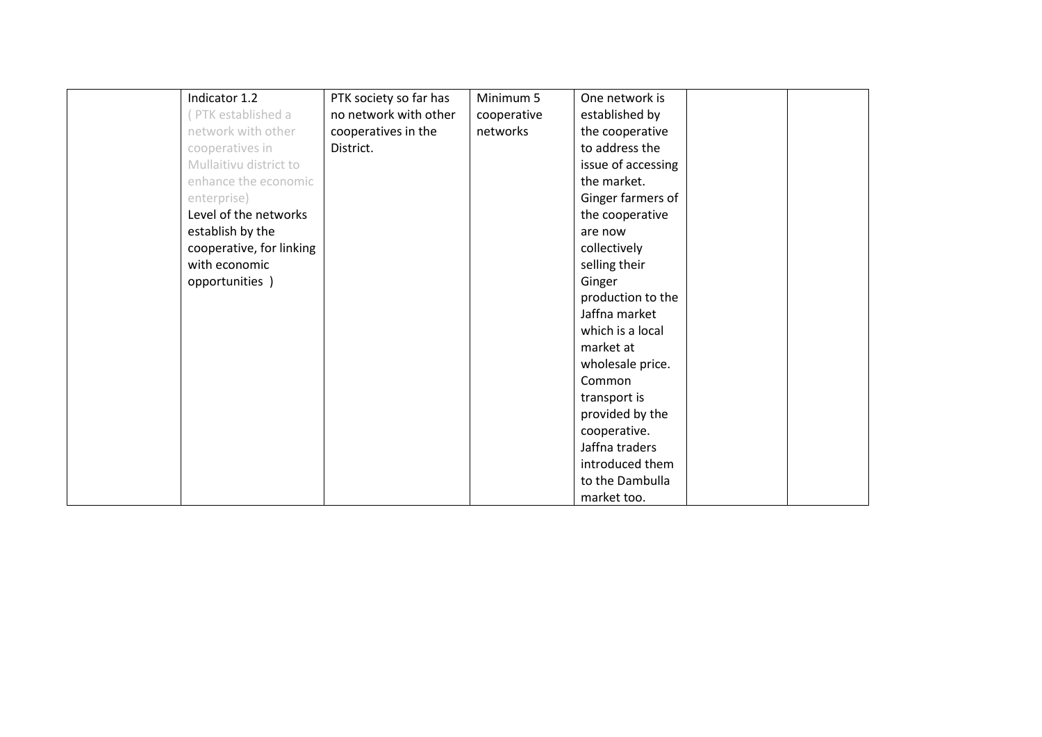| Indicator 1.2            | PTK society so far has | Minimum 5   | One network is     |  |
|--------------------------|------------------------|-------------|--------------------|--|
| PTK established a        | no network with other  | cooperative | established by     |  |
| network with other       | cooperatives in the    | networks    | the cooperative    |  |
| cooperatives in          | District.              |             | to address the     |  |
| Mullaitivu district to   |                        |             | issue of accessing |  |
| enhance the economic     |                        |             | the market.        |  |
| enterprise)              |                        |             | Ginger farmers of  |  |
| Level of the networks    |                        |             | the cooperative    |  |
| establish by the         |                        |             | are now            |  |
| cooperative, for linking |                        |             | collectively       |  |
| with economic            |                        |             | selling their      |  |
| opportunities )          |                        |             | Ginger             |  |
|                          |                        |             | production to the  |  |
|                          |                        |             | Jaffna market      |  |
|                          |                        |             | which is a local   |  |
|                          |                        |             | market at          |  |
|                          |                        |             | wholesale price.   |  |
|                          |                        |             | Common             |  |
|                          |                        |             | transport is       |  |
|                          |                        |             | provided by the    |  |
|                          |                        |             | cooperative.       |  |
|                          |                        |             | Jaffna traders     |  |
|                          |                        |             | introduced them    |  |
|                          |                        |             | to the Dambulla    |  |
|                          |                        |             | market too.        |  |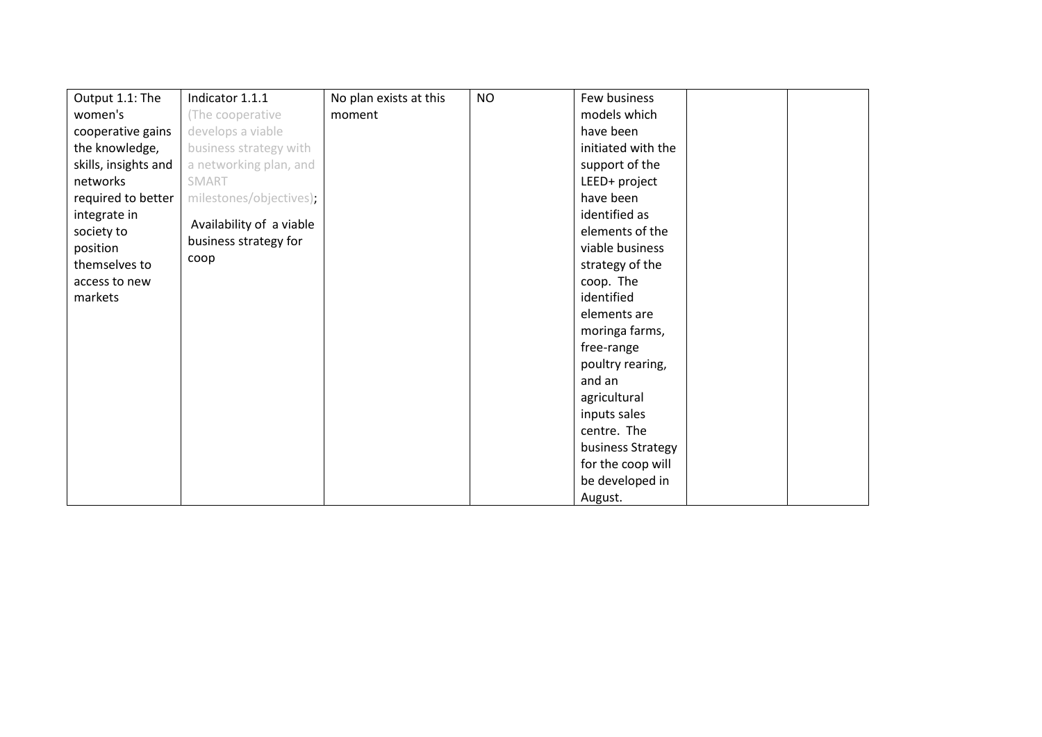| Output 1.1: The      | Indicator 1.1.1          | No plan exists at this | <b>NO</b> | Few business       |  |
|----------------------|--------------------------|------------------------|-----------|--------------------|--|
| women's              | (The cooperative         | moment                 |           | models which       |  |
| cooperative gains    | develops a viable        |                        |           | have been          |  |
| the knowledge,       | business strategy with   |                        |           | initiated with the |  |
| skills, insights and | a networking plan, and   |                        |           | support of the     |  |
| networks             | SMART                    |                        |           | LEED+ project      |  |
| required to better   | milestones/objectives);  |                        |           | have been          |  |
| integrate in         |                          |                        |           | identified as      |  |
| society to           | Availability of a viable |                        |           | elements of the    |  |
| position             | business strategy for    |                        |           | viable business    |  |
| themselves to        | coop                     |                        |           | strategy of the    |  |
| access to new        |                          |                        |           | coop. The          |  |
| markets              |                          |                        |           | identified         |  |
|                      |                          |                        |           | elements are       |  |
|                      |                          |                        |           | moringa farms,     |  |
|                      |                          |                        |           | free-range         |  |
|                      |                          |                        |           | poultry rearing,   |  |
|                      |                          |                        |           | and an             |  |
|                      |                          |                        |           | agricultural       |  |
|                      |                          |                        |           | inputs sales       |  |
|                      |                          |                        |           | centre. The        |  |
|                      |                          |                        |           | business Strategy  |  |
|                      |                          |                        |           | for the coop will  |  |
|                      |                          |                        |           | be developed in    |  |
|                      |                          |                        |           | August.            |  |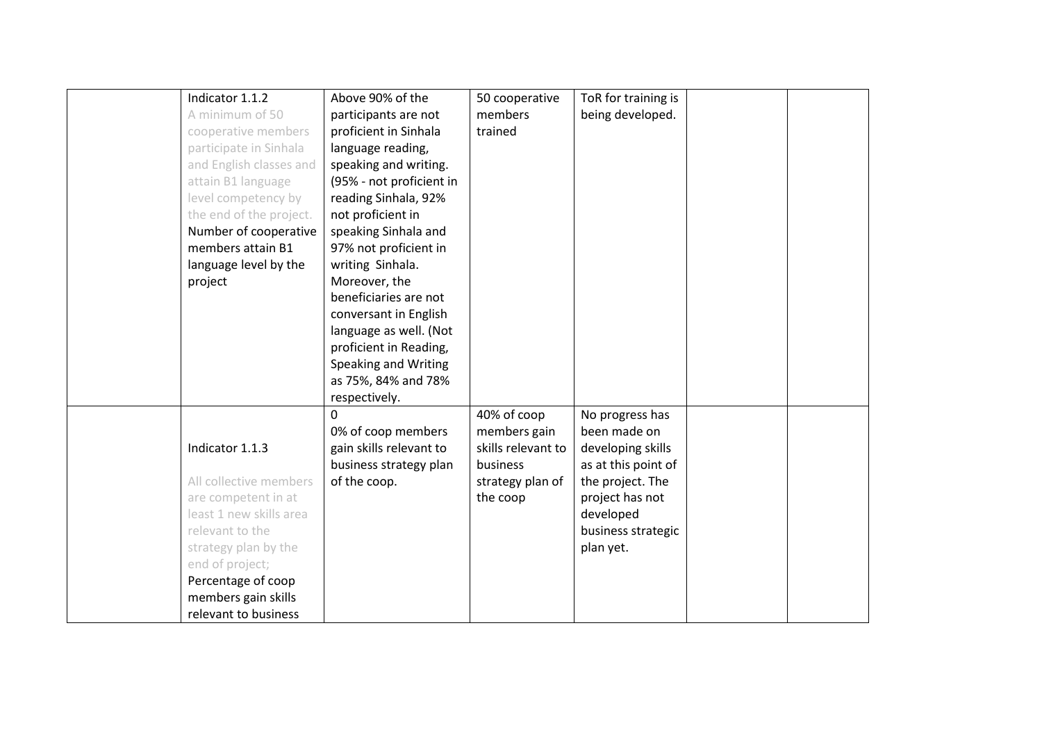| Indicator 1.1.2         | Above 90% of the         | 50 cooperative     | ToR for training is |  |
|-------------------------|--------------------------|--------------------|---------------------|--|
| A minimum of 50         | participants are not     | members            | being developed.    |  |
| cooperative members     | proficient in Sinhala    | trained            |                     |  |
| participate in Sinhala  | language reading,        |                    |                     |  |
| and English classes and | speaking and writing.    |                    |                     |  |
| attain B1 language      | (95% - not proficient in |                    |                     |  |
| level competency by     | reading Sinhala, 92%     |                    |                     |  |
| the end of the project. | not proficient in        |                    |                     |  |
| Number of cooperative   | speaking Sinhala and     |                    |                     |  |
| members attain B1       | 97% not proficient in    |                    |                     |  |
| language level by the   | writing Sinhala.         |                    |                     |  |
| project                 | Moreover, the            |                    |                     |  |
|                         | beneficiaries are not    |                    |                     |  |
|                         | conversant in English    |                    |                     |  |
|                         | language as well. (Not   |                    |                     |  |
|                         | proficient in Reading,   |                    |                     |  |
|                         | Speaking and Writing     |                    |                     |  |
|                         | as 75%, 84% and 78%      |                    |                     |  |
|                         | respectively.            |                    |                     |  |
|                         | 0                        | 40% of coop        | No progress has     |  |
|                         | 0% of coop members       | members gain       | been made on        |  |
| Indicator 1.1.3         | gain skills relevant to  | skills relevant to | developing skills   |  |
|                         | business strategy plan   | business           | as at this point of |  |
| All collective members  | of the coop.             | strategy plan of   | the project. The    |  |
| are competent in at     |                          | the coop           | project has not     |  |
| least 1 new skills area |                          |                    | developed           |  |
| relevant to the         |                          |                    | business strategic  |  |
| strategy plan by the    |                          |                    | plan yet.           |  |
| end of project;         |                          |                    |                     |  |
| Percentage of coop      |                          |                    |                     |  |
| members gain skills     |                          |                    |                     |  |
| relevant to business    |                          |                    |                     |  |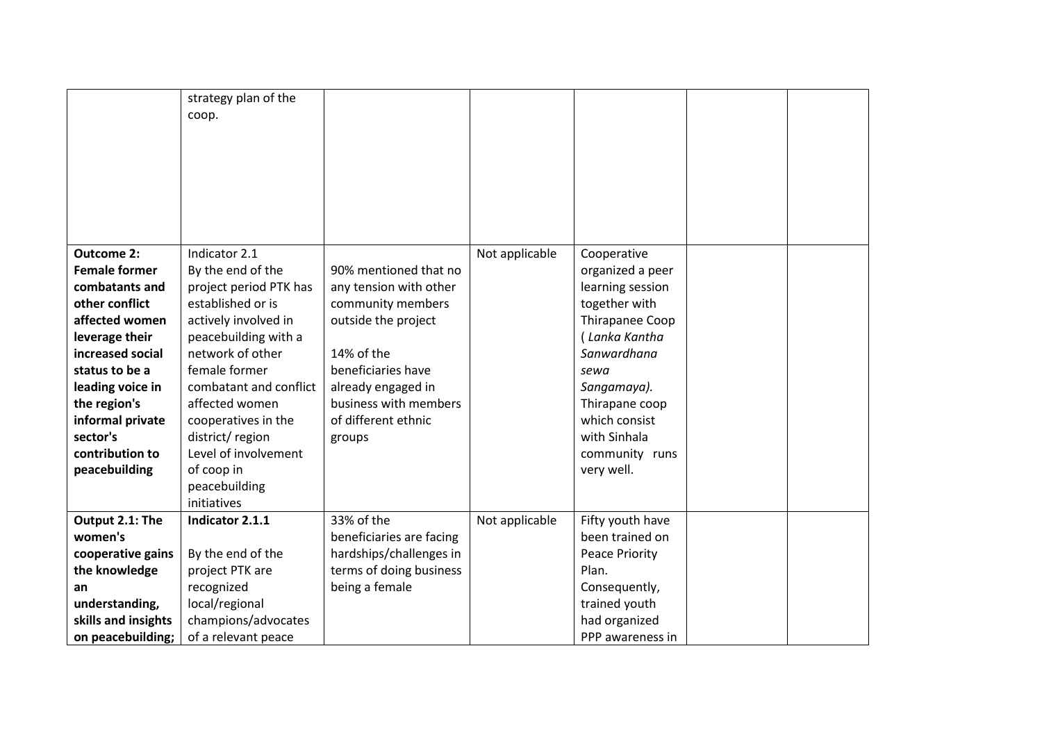| <b>Outcome 2:</b><br><b>Female former</b><br>combatants and<br>other conflict<br>affected women<br>leverage their<br>increased social<br>status to be a<br>leading voice in<br>the region's<br>informal private<br>sector's<br>contribution to<br>peacebuilding | strategy plan of the<br>coop.<br>Indicator 2.1<br>By the end of the<br>project period PTK has<br>established or is<br>actively involved in<br>peacebuilding with a<br>network of other<br>female former<br>combatant and conflict<br>affected women<br>cooperatives in the<br>district/region<br>Level of involvement<br>of coop in<br>peacebuilding | 90% mentioned that no<br>any tension with other<br>community members<br>outside the project<br>14% of the<br>beneficiaries have<br>already engaged in<br>business with members<br>of different ethnic<br>groups | Not applicable | Cooperative<br>organized a peer<br>learning session<br>together with<br>Thirapanee Coop<br>(Lanka Kantha<br>Sanwardhana<br>sewa<br>Sangamaya).<br>Thirapane coop<br>which consist<br>with Sinhala<br>community runs<br>very well. |  |
|-----------------------------------------------------------------------------------------------------------------------------------------------------------------------------------------------------------------------------------------------------------------|------------------------------------------------------------------------------------------------------------------------------------------------------------------------------------------------------------------------------------------------------------------------------------------------------------------------------------------------------|-----------------------------------------------------------------------------------------------------------------------------------------------------------------------------------------------------------------|----------------|-----------------------------------------------------------------------------------------------------------------------------------------------------------------------------------------------------------------------------------|--|
| Output 2.1: The                                                                                                                                                                                                                                                 | initiatives<br>Indicator 2.1.1                                                                                                                                                                                                                                                                                                                       | 33% of the                                                                                                                                                                                                      | Not applicable | Fifty youth have                                                                                                                                                                                                                  |  |
| women's                                                                                                                                                                                                                                                         |                                                                                                                                                                                                                                                                                                                                                      | beneficiaries are facing                                                                                                                                                                                        |                | been trained on                                                                                                                                                                                                                   |  |
| cooperative gains                                                                                                                                                                                                                                               | By the end of the                                                                                                                                                                                                                                                                                                                                    | hardships/challenges in                                                                                                                                                                                         |                | <b>Peace Priority</b>                                                                                                                                                                                                             |  |
| the knowledge                                                                                                                                                                                                                                                   | project PTK are                                                                                                                                                                                                                                                                                                                                      | terms of doing business                                                                                                                                                                                         |                | Plan.                                                                                                                                                                                                                             |  |
| an                                                                                                                                                                                                                                                              | recognized                                                                                                                                                                                                                                                                                                                                           | being a female                                                                                                                                                                                                  |                | Consequently,                                                                                                                                                                                                                     |  |
| understanding,                                                                                                                                                                                                                                                  | local/regional                                                                                                                                                                                                                                                                                                                                       |                                                                                                                                                                                                                 |                | trained youth                                                                                                                                                                                                                     |  |
| skills and insights                                                                                                                                                                                                                                             | champions/advocates                                                                                                                                                                                                                                                                                                                                  |                                                                                                                                                                                                                 |                | had organized                                                                                                                                                                                                                     |  |
| on peacebuilding;                                                                                                                                                                                                                                               | of a relevant peace                                                                                                                                                                                                                                                                                                                                  |                                                                                                                                                                                                                 |                | PPP awareness in                                                                                                                                                                                                                  |  |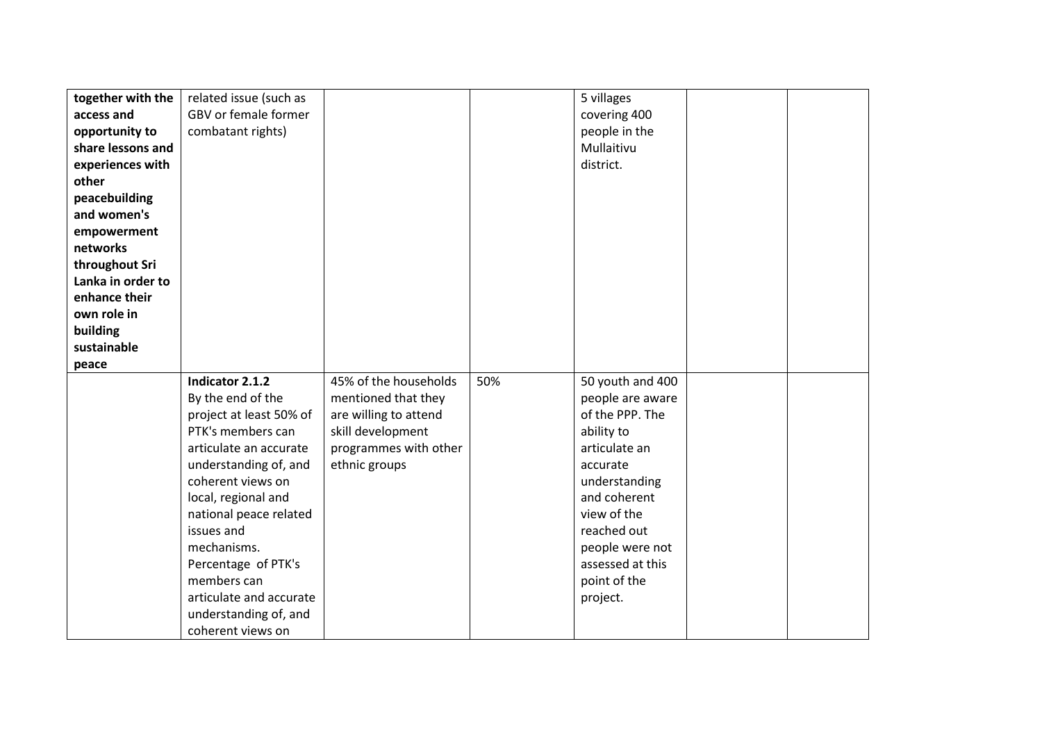| together with the<br>access and<br>opportunity to<br>share lessons and<br>experiences with<br>other<br>peacebuilding<br>and women's<br>empowerment<br>networks<br>throughout Sri<br>Lanka in order to<br>enhance their | related issue (such as<br>GBV or female former<br>combatant rights)                                                                                                                                                                                                                                                                                       |                                                                                                                                      |     | 5 villages<br>covering 400<br>people in the<br>Mullaitivu<br>district.                                                                                                                                                               |  |
|------------------------------------------------------------------------------------------------------------------------------------------------------------------------------------------------------------------------|-----------------------------------------------------------------------------------------------------------------------------------------------------------------------------------------------------------------------------------------------------------------------------------------------------------------------------------------------------------|--------------------------------------------------------------------------------------------------------------------------------------|-----|--------------------------------------------------------------------------------------------------------------------------------------------------------------------------------------------------------------------------------------|--|
| own role in                                                                                                                                                                                                            |                                                                                                                                                                                                                                                                                                                                                           |                                                                                                                                      |     |                                                                                                                                                                                                                                      |  |
| building<br>sustainable                                                                                                                                                                                                |                                                                                                                                                                                                                                                                                                                                                           |                                                                                                                                      |     |                                                                                                                                                                                                                                      |  |
| peace                                                                                                                                                                                                                  |                                                                                                                                                                                                                                                                                                                                                           |                                                                                                                                      |     |                                                                                                                                                                                                                                      |  |
|                                                                                                                                                                                                                        | Indicator 2.1.2<br>By the end of the<br>project at least 50% of<br>PTK's members can<br>articulate an accurate<br>understanding of, and<br>coherent views on<br>local, regional and<br>national peace related<br>issues and<br>mechanisms.<br>Percentage of PTK's<br>members can<br>articulate and accurate<br>understanding of, and<br>coherent views on | 45% of the households<br>mentioned that they<br>are willing to attend<br>skill development<br>programmes with other<br>ethnic groups | 50% | 50 youth and 400<br>people are aware<br>of the PPP. The<br>ability to<br>articulate an<br>accurate<br>understanding<br>and coherent<br>view of the<br>reached out<br>people were not<br>assessed at this<br>point of the<br>project. |  |